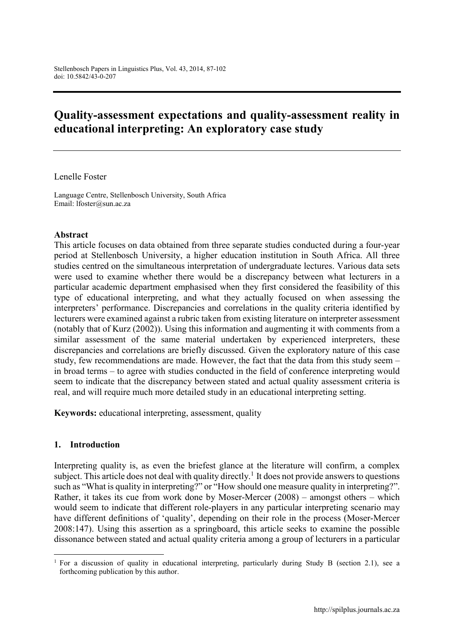# Quality-assessment expectations and quality-assessment reality in educational interpreting: An exploratory case study

Lenelle Foster

Language Centre, Stellenbosch University, South Africa Email: lfoster@sun.ac.za

#### Abstract

This article focuses on data obtained from three separate studies conducted during a four-year period at Stellenbosch University, a higher education institution in South Africa. All three studies centred on the simultaneous interpretation of undergraduate lectures. Various data sets were used to examine whether there would be a discrepancy between what lecturers in a particular academic department emphasised when they first considered the feasibility of this type of educational interpreting, and what they actually focused on when assessing the interpreters' performance. Discrepancies and correlations in the quality criteria identified by lecturers were examined against a rubric taken from existing literature on interpreter assessment (notably that of Kurz (2002)). Using this information and augmenting it with comments from a similar assessment of the same material undertaken by experienced interpreters, these discrepancies and correlations are briefly discussed. Given the exploratory nature of this case study, few recommendations are made. However, the fact that the data from this study seem – in broad terms – to agree with studies conducted in the field of conference interpreting would seem to indicate that the discrepancy between stated and actual quality assessment criteria is real, and will require much more detailed study in an educational interpreting setting.

Keywords: educational interpreting, assessment, quality

#### 1. Introduction

1

Interpreting quality is, as even the briefest glance at the literature will confirm, a complex subject. This article does not deal with quality directly.<sup>1</sup> It does not provide answers to questions such as "What is quality in interpreting?" or "How should one measure quality in interpreting?". Rather, it takes its cue from work done by Moser-Mercer (2008) – amongst others – which would seem to indicate that different role-players in any particular interpreting scenario may have different definitions of 'quality', depending on their role in the process (Moser-Mercer 2008:147). Using this assertion as a springboard, this article seeks to examine the possible dissonance between stated and actual quality criteria among a group of lecturers in a particular

<sup>&</sup>lt;sup>1</sup> For a discussion of quality in educational interpreting, particularly during Study B (section 2.1), see a forthcoming publication by this author.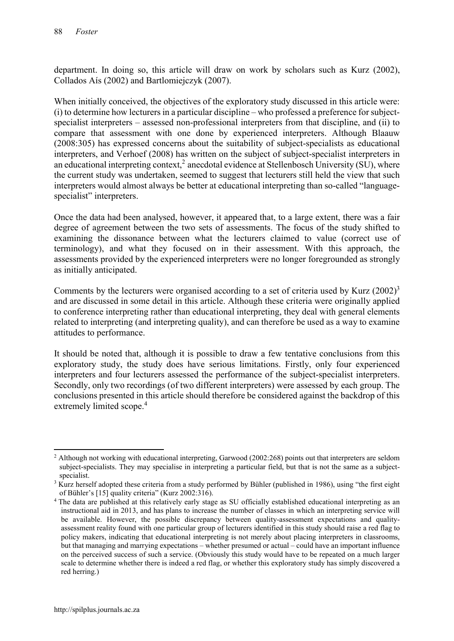department. In doing so, this article will draw on work by scholars such as Kurz (2002), Collados Aís (2002) and Bartlomiejczyk (2007).

When initially conceived, the objectives of the exploratory study discussed in this article were: (i) to determine how lecturers in a particular discipline – who professed a preference for subjectspecialist interpreters – assessed non-professional interpreters from that discipline, and (ii) to compare that assessment with one done by experienced interpreters. Although Blaauw (2008:305) has expressed concerns about the suitability of subject-specialists as educational interpreters, and Verhoef (2008) has written on the subject of subject-specialist interpreters in an educational interpreting context,<sup>2</sup> anecdotal evidence at Stellenbosch University (SU), where the current study was undertaken, seemed to suggest that lecturers still held the view that such interpreters would almost always be better at educational interpreting than so-called "languagespecialist" interpreters.

Once the data had been analysed, however, it appeared that, to a large extent, there was a fair degree of agreement between the two sets of assessments. The focus of the study shifted to examining the dissonance between what the lecturers claimed to value (correct use of terminology), and what they focused on in their assessment. With this approach, the assessments provided by the experienced interpreters were no longer foregrounded as strongly as initially anticipated.

Comments by the lecturers were organised according to a set of criteria used by Kurz  $(2002)^3$ and are discussed in some detail in this article. Although these criteria were originally applied to conference interpreting rather than educational interpreting, they deal with general elements related to interpreting (and interpreting quality), and can therefore be used as a way to examine attitudes to performance.

It should be noted that, although it is possible to draw a few tentative conclusions from this exploratory study, the study does have serious limitations. Firstly, only four experienced interpreters and four lecturers assessed the performance of the subject-specialist interpreters. Secondly, only two recordings (of two different interpreters) were assessed by each group. The conclusions presented in this article should therefore be considered against the backdrop of this extremely limited scope. 4

**<sup>.</sup>** <sup>2</sup> Although not working with educational interpreting, Garwood (2002:268) points out that interpreters are seldom subject-specialists. They may specialise in interpreting a particular field, but that is not the same as a subjectspecialist.

<sup>&</sup>lt;sup>3</sup> Kurz herself adopted these criteria from a study performed by Bühler (published in 1986), using "the first eight of Bühler's [15] quality criteria" (Kurz 2002:316).

<sup>&</sup>lt;sup>4</sup> The data are published at this relatively early stage as SU officially established educational interpreting as an instructional aid in 2013, and has plans to increase the number of classes in which an interpreting service will be available. However, the possible discrepancy between quality-assessment expectations and qualityassessment reality found with one particular group of lecturers identified in this study should raise a red flag to policy makers, indicating that educational interpreting is not merely about placing interpreters in classrooms, but that managing and marrying expectations – whether presumed or actual – could have an important influence on the perceived success of such a service. (Obviously this study would have to be repeated on a much larger scale to determine whether there is indeed a red flag, or whether this exploratory study has simply discovered a red herring.)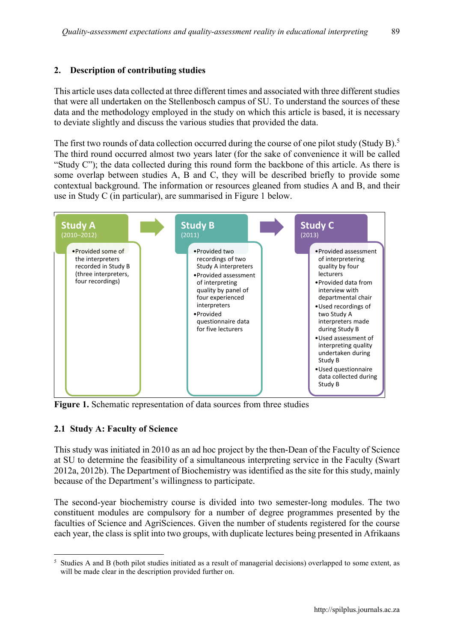#### 2. Description of contributing studies

This article uses data collected at three different times and associated with three different studies that were all undertaken on the Stellenbosch campus of SU. To understand the sources of these data and the methodology employed in the study on which this article is based, it is necessary to deviate slightly and discuss the various studies that provided the data.

The first two rounds of data collection occurred during the course of one pilot study (Study B).<sup>5</sup> The third round occurred almost two years later (for the sake of convenience it will be called "Study C"); the data collected during this round form the backbone of this article. As there is some overlap between studies A, B and C, they will be described briefly to provide some contextual background. The information or resources gleaned from studies A and B, and their use in Study C (in particular), are summarised in Figure 1 below.



Figure 1. Schematic representation of data sources from three studies

#### 2.1 Study A: Faculty of Science

1

This study was initiated in 2010 as an ad hoc project by the then-Dean of the Faculty of Science at SU to determine the feasibility of a simultaneous interpreting service in the Faculty (Swart 2012a, 2012b). The Department of Biochemistry was identified as the site for this study, mainly because of the Department's willingness to participate.

The second-year biochemistry course is divided into two semester-long modules. The two constituent modules are compulsory for a number of degree programmes presented by the faculties of Science and AgriSciences. Given the number of students registered for the course each year, the class is split into two groups, with duplicate lectures being presented in Afrikaans

<sup>&</sup>lt;sup>5</sup> Studies A and B (both pilot studies initiated as a result of managerial decisions) overlapped to some extent, as will be made clear in the description provided further on.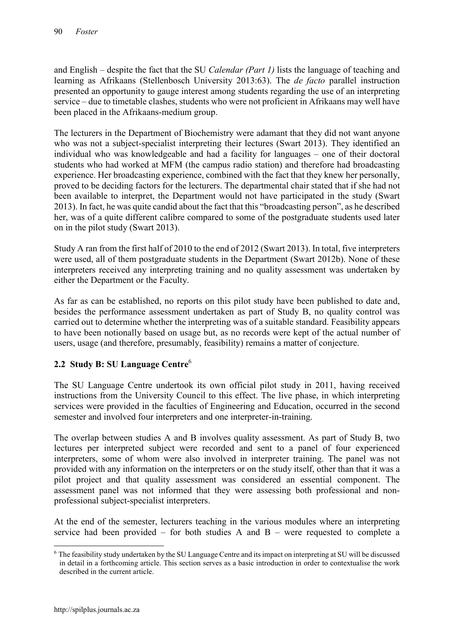and English – despite the fact that the SU *Calendar (Part 1)* lists the language of teaching and learning as Afrikaans (Stellenbosch University 2013:63). The *de facto* parallel instruction presented an opportunity to gauge interest among students regarding the use of an interpreting service – due to timetable clashes, students who were not proficient in Afrikaans may well have been placed in the Afrikaans-medium group.

The lecturers in the Department of Biochemistry were adamant that they did not want anyone who was not a subject-specialist interpreting their lectures (Swart 2013). They identified an individual who was knowledgeable and had a facility for languages – one of their doctoral students who had worked at MFM (the campus radio station) and therefore had broadcasting experience. Her broadcasting experience, combined with the fact that they knew her personally, proved to be deciding factors for the lecturers. The departmental chair stated that if she had not been available to interpret, the Department would not have participated in the study (Swart 2013). In fact, he was quite candid about the fact that this "broadcasting person", as he described her, was of a quite different calibre compared to some of the postgraduate students used later on in the pilot study (Swart 2013).

Study A ran from the first half of 2010 to the end of 2012 (Swart 2013). In total, five interpreters were used, all of them postgraduate students in the Department (Swart 2012b). None of these interpreters received any interpreting training and no quality assessment was undertaken by either the Department or the Faculty.

As far as can be established, no reports on this pilot study have been published to date and, besides the performance assessment undertaken as part of Study B, no quality control was carried out to determine whether the interpreting was of a suitable standard. Feasibility appears to have been notionally based on usage but, as no records were kept of the actual number of users, usage (and therefore, presumably, feasibility) remains a matter of conjecture.

# 2.2 Study B: SU Language Centre<sup>6</sup>

The SU Language Centre undertook its own official pilot study in 2011, having received instructions from the University Council to this effect. The live phase, in which interpreting services were provided in the faculties of Engineering and Education, occurred in the second semester and involved four interpreters and one interpreter-in-training.

The overlap between studies A and B involves quality assessment. As part of Study B, two lectures per interpreted subject were recorded and sent to a panel of four experienced interpreters, some of whom were also involved in interpreter training. The panel was not provided with any information on the interpreters or on the study itself, other than that it was a pilot project and that quality assessment was considered an essential component. The assessment panel was not informed that they were assessing both professional and nonprofessional subject-specialist interpreters.

At the end of the semester, lecturers teaching in the various modules where an interpreting service had been provided – for both studies A and  $B$  – were requested to complete a

<sup>1</sup> <sup>6</sup> The feasibility study undertaken by the SU Language Centre and its impact on interpreting at SU will be discussed in detail in a forthcoming article. This section serves as a basic introduction in order to contextualise the work described in the current article.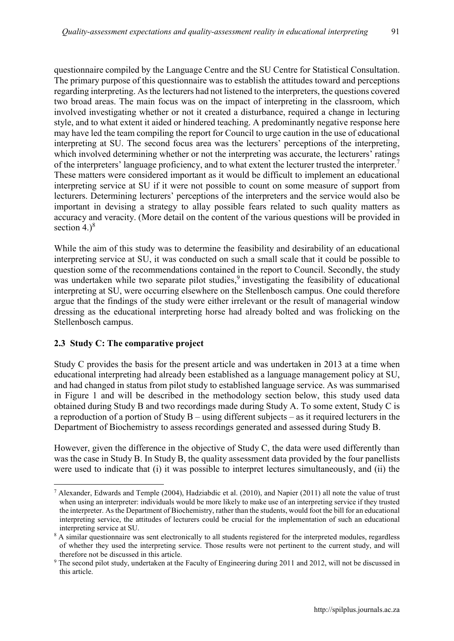questionnaire compiled by the Language Centre and the SU Centre for Statistical Consultation. The primary purpose of this questionnaire was to establish the attitudes toward and perceptions regarding interpreting. As the lecturers had not listened to the interpreters, the questions covered two broad areas. The main focus was on the impact of interpreting in the classroom, which involved investigating whether or not it created a disturbance, required a change in lecturing style, and to what extent it aided or hindered teaching. A predominantly negative response here may have led the team compiling the report for Council to urge caution in the use of educational interpreting at SU. The second focus area was the lecturers' perceptions of the interpreting, which involved determining whether or not the interpreting was accurate, the lecturers' ratings of the interpreters' language proficiency, and to what extent the lecturer trusted the interpreter.<sup>7</sup> These matters were considered important as it would be difficult to implement an educational interpreting service at SU if it were not possible to count on some measure of support from lecturers. Determining lecturers' perceptions of the interpreters and the service would also be important in devising a strategy to allay possible fears related to such quality matters as accuracy and veracity. (More detail on the content of the various questions will be provided in

While the aim of this study was to determine the feasibility and desirability of an educational interpreting service at SU, it was conducted on such a small scale that it could be possible to question some of the recommendations contained in the report to Council. Secondly, the study was undertaken while two separate pilot studies,<sup>9</sup> investigating the feasibility of educational interpreting at SU, were occurring elsewhere on the Stellenbosch campus. One could therefore argue that the findings of the study were either irrelevant or the result of managerial window dressing as the educational interpreting horse had already bolted and was frolicking on the Stellenbosch campus.

#### 2.3 Study C: The comparative project

section  $4.$ <sup>8</sup>

**.** 

Study C provides the basis for the present article and was undertaken in 2013 at a time when educational interpreting had already been established as a language management policy at SU, and had changed in status from pilot study to established language service. As was summarised in Figure 1 and will be described in the methodology section below, this study used data obtained during Study B and two recordings made during Study A. To some extent, Study C is a reproduction of a portion of Study B – using different subjects – as it required lecturers in the Department of Biochemistry to assess recordings generated and assessed during Study B.

However, given the difference in the objective of Study C, the data were used differently than was the case in Study B. In Study B, the quality assessment data provided by the four panellists were used to indicate that (i) it was possible to interpret lectures simultaneously, and (ii) the

<sup>7</sup> Alexander, Edwards and Temple (2004), Hadziabdic et al. (2010), and Napier (2011) all note the value of trust when using an interpreter: individuals would be more likely to make use of an interpreting service if they trusted the interpreter. As the Department of Biochemistry, rather than the students, would foot the bill for an educational interpreting service, the attitudes of lecturers could be crucial for the implementation of such an educational interpreting service at SU.

<sup>&</sup>lt;sup>8</sup> A similar questionnaire was sent electronically to all students registered for the interpreted modules, regardless of whether they used the interpreting service. Those results were not pertinent to the current study, and will therefore not be discussed in this article.

<sup>&</sup>lt;sup>9</sup> The second pilot study, undertaken at the Faculty of Engineering during 2011 and 2012, will not be discussed in this article.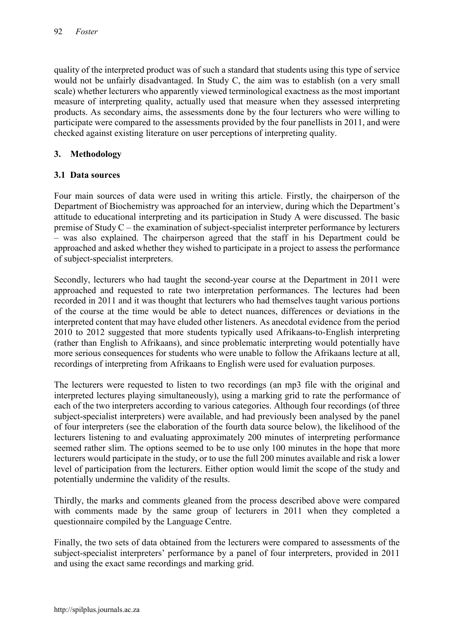quality of the interpreted product was of such a standard that students using this type of service would not be unfairly disadvantaged. In Study C, the aim was to establish (on a very small scale) whether lecturers who apparently viewed terminological exactness as the most important measure of interpreting quality, actually used that measure when they assessed interpreting products. As secondary aims, the assessments done by the four lecturers who were willing to participate were compared to the assessments provided by the four panellists in 2011, and were checked against existing literature on user perceptions of interpreting quality.

# 3. Methodology

#### 3.1 Data sources

Four main sources of data were used in writing this article. Firstly, the chairperson of the Department of Biochemistry was approached for an interview, during which the Department's attitude to educational interpreting and its participation in Study A were discussed. The basic premise of Study C – the examination of subject-specialist interpreter performance by lecturers – was also explained. The chairperson agreed that the staff in his Department could be approached and asked whether they wished to participate in a project to assess the performance of subject-specialist interpreters.

Secondly, lecturers who had taught the second-year course at the Department in 2011 were approached and requested to rate two interpretation performances. The lectures had been recorded in 2011 and it was thought that lecturers who had themselves taught various portions of the course at the time would be able to detect nuances, differences or deviations in the interpreted content that may have eluded other listeners. As anecdotal evidence from the period 2010 to 2012 suggested that more students typically used Afrikaans-to-English interpreting (rather than English to Afrikaans), and since problematic interpreting would potentially have more serious consequences for students who were unable to follow the Afrikaans lecture at all, recordings of interpreting from Afrikaans to English were used for evaluation purposes.

The lecturers were requested to listen to two recordings (an mp3 file with the original and interpreted lectures playing simultaneously), using a marking grid to rate the performance of each of the two interpreters according to various categories. Although four recordings (of three subject-specialist interpreters) were available, and had previously been analysed by the panel of four interpreters (see the elaboration of the fourth data source below), the likelihood of the lecturers listening to and evaluating approximately 200 minutes of interpreting performance seemed rather slim. The options seemed to be to use only 100 minutes in the hope that more lecturers would participate in the study, or to use the full 200 minutes available and risk a lower level of participation from the lecturers. Either option would limit the scope of the study and potentially undermine the validity of the results.

Thirdly, the marks and comments gleaned from the process described above were compared with comments made by the same group of lecturers in 2011 when they completed a questionnaire compiled by the Language Centre.

Finally, the two sets of data obtained from the lecturers were compared to assessments of the subject-specialist interpreters' performance by a panel of four interpreters, provided in 2011 and using the exact same recordings and marking grid.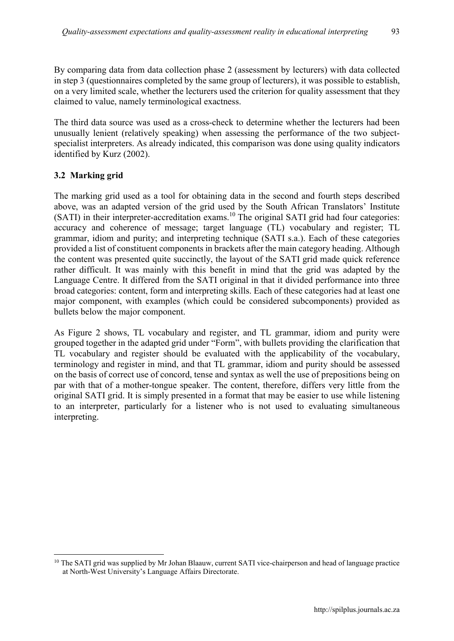By comparing data from data collection phase 2 (assessment by lecturers) with data collected in step 3 (questionnaires completed by the same group of lecturers), it was possible to establish, on a very limited scale, whether the lecturers used the criterion for quality assessment that they claimed to value, namely terminological exactness.

The third data source was used as a cross-check to determine whether the lecturers had been unusually lenient (relatively speaking) when assessing the performance of the two subjectspecialist interpreters. As already indicated, this comparison was done using quality indicators identified by Kurz (2002).

# 3.2 Marking grid

1

The marking grid used as a tool for obtaining data in the second and fourth steps described above, was an adapted version of the grid used by the South African Translators' Institute (SATI) in their interpreter-accreditation exams.<sup>10</sup> The original SATI grid had four categories: accuracy and coherence of message; target language (TL) vocabulary and register; TL grammar, idiom and purity; and interpreting technique (SATI s.a.). Each of these categories provided a list of constituent components in brackets after the main category heading. Although the content was presented quite succinctly, the layout of the SATI grid made quick reference rather difficult. It was mainly with this benefit in mind that the grid was adapted by the Language Centre. It differed from the SATI original in that it divided performance into three broad categories: content, form and interpreting skills. Each of these categories had at least one major component, with examples (which could be considered subcomponents) provided as bullets below the major component.

As Figure 2 shows, TL vocabulary and register, and TL grammar, idiom and purity were grouped together in the adapted grid under "Form", with bullets providing the clarification that TL vocabulary and register should be evaluated with the applicability of the vocabulary, terminology and register in mind, and that TL grammar, idiom and purity should be assessed on the basis of correct use of concord, tense and syntax as well the use of prepositions being on par with that of a mother-tongue speaker. The content, therefore, differs very little from the original SATI grid. It is simply presented in a format that may be easier to use while listening to an interpreter, particularly for a listener who is not used to evaluating simultaneous interpreting.

<sup>&</sup>lt;sup>10</sup> The SATI grid was supplied by Mr Johan Blaauw, current SATI vice-chairperson and head of language practice at North-West University's Language Affairs Directorate.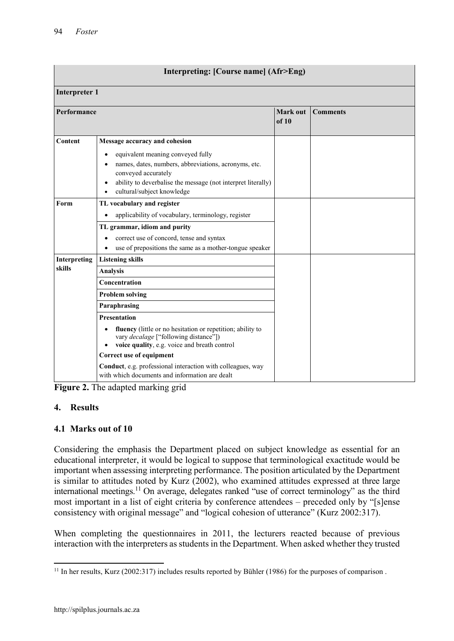| Interpreting: [Course name] (Afr>Eng) |                                                                                                                                                                                                                                          |                   |                 |  |
|---------------------------------------|------------------------------------------------------------------------------------------------------------------------------------------------------------------------------------------------------------------------------------------|-------------------|-----------------|--|
| <b>Interpreter 1</b>                  |                                                                                                                                                                                                                                          |                   |                 |  |
| <b>Performance</b>                    |                                                                                                                                                                                                                                          | Mark out<br>of 10 | <b>Comments</b> |  |
| Content                               | Message accuracy and cohesion                                                                                                                                                                                                            |                   |                 |  |
|                                       | equivalent meaning conveyed fully<br>$\bullet$<br>names, dates, numbers, abbreviations, acronyms, etc.<br>conveyed accurately<br>ability to deverbalise the message (not interpret literally)<br>cultural/subject knowledge<br>$\bullet$ |                   |                 |  |
| Form                                  | TL vocabulary and register                                                                                                                                                                                                               |                   |                 |  |
|                                       | applicability of vocabulary, terminology, register                                                                                                                                                                                       |                   |                 |  |
|                                       | TL grammar, idiom and purity                                                                                                                                                                                                             |                   |                 |  |
|                                       | correct use of concord, tense and syntax                                                                                                                                                                                                 |                   |                 |  |
|                                       | use of prepositions the same as a mother-tongue speaker<br>$\bullet$                                                                                                                                                                     |                   |                 |  |
| Interpreting                          | <b>Listening skills</b>                                                                                                                                                                                                                  |                   |                 |  |
| skills                                | <b>Analysis</b>                                                                                                                                                                                                                          |                   |                 |  |
|                                       | Concentration                                                                                                                                                                                                                            |                   |                 |  |
|                                       | <b>Problem solving</b>                                                                                                                                                                                                                   |                   |                 |  |
|                                       | Paraphrasing                                                                                                                                                                                                                             |                   |                 |  |
|                                       | <b>Presentation</b>                                                                                                                                                                                                                      |                   |                 |  |
|                                       | fluency (little or no hesitation or repetition; ability to<br>$\bullet$<br>vary <i>decalage</i> ["following distance"])<br>voice quality, e.g. voice and breath control                                                                  |                   |                 |  |
|                                       | Correct use of equipment                                                                                                                                                                                                                 |                   |                 |  |
|                                       | Conduct, e.g. professional interaction with colleagues, way<br>with which documents and information are dealt                                                                                                                            |                   |                 |  |

Figure 2. The adapted marking grid

# 4. Results

# 4.1 Marks out of 10

Considering the emphasis the Department placed on subject knowledge as essential for an educational interpreter, it would be logical to suppose that terminological exactitude would be important when assessing interpreting performance. The position articulated by the Department is similar to attitudes noted by Kurz (2002), who examined attitudes expressed at three large international meetings.<sup>11</sup> On average, delegates ranked "use of correct terminology" as the third most important in a list of eight criteria by conference attendees – preceded only by "[s]ense consistency with original message" and "logical cohesion of utterance" (Kurz 2002:317).

When completing the questionnaires in 2011, the lecturers reacted because of previous interaction with the interpreters as students in the Department. When asked whether they trusted

 $\overline{a}$ <sup>11</sup> In her results, Kurz (2002:317) includes results reported by Bühler (1986) for the purposes of comparison.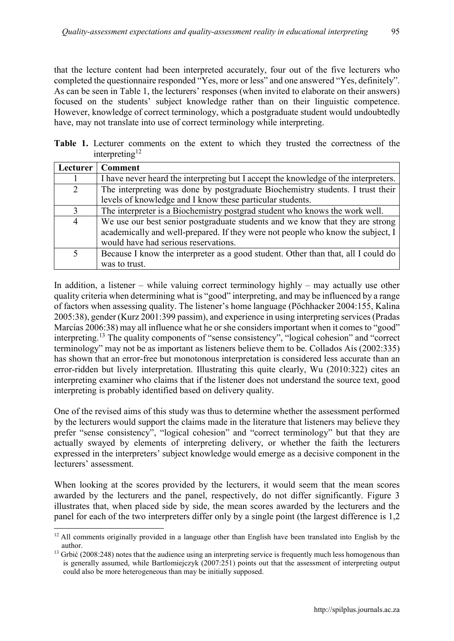that the lecture content had been interpreted accurately, four out of the five lecturers who completed the questionnaire responded "Yes, more or less" and one answered "Yes, definitely". As can be seen in Table 1, the lecturers' responses (when invited to elaborate on their answers) focused on the students' subject knowledge rather than on their linguistic competence. However, knowledge of correct terminology, which a postgraduate student would undoubtedly have, may not translate into use of correct terminology while interpreting.

Table 1. Lecturer comments on the extent to which they trusted the correctness of the interpreting<sup>12</sup>

| Lecturer       | <b>Comment</b>                                                                      |  |
|----------------|-------------------------------------------------------------------------------------|--|
|                | I have never heard the interpreting but I accept the knowledge of the interpreters. |  |
| $\overline{2}$ | The interpreting was done by postgraduate Biochemistry students. I trust their      |  |
|                | levels of knowledge and I know these particular students.                           |  |
| 3              | The interpreter is a Biochemistry postgrad student who knows the work well.         |  |
| $\overline{4}$ | We use our best senior postgraduate students and we know that they are strong       |  |
|                | academically and well-prepared. If they were not people who know the subject, I     |  |
|                | would have had serious reservations.                                                |  |
| 5              | Because I know the interpreter as a good student. Other than that, all I could do   |  |
|                | was to trust.                                                                       |  |

In addition, a listener – while valuing correct terminology highly – may actually use other quality criteria when determining what is "good" interpreting, and may be influenced by a range of factors when assessing quality. The listener's home language (Pöchhacker 2004:155, Kalina 2005:38), gender (Kurz 2001:399 passim), and experience in using interpreting services (Pradas Marcías 2006:38) may all influence what he or she considers important when it comes to "good" interpreting. <sup>13</sup> The quality components of "sense consistency", "logical cohesion" and "correct terminology" may not be as important as listeners believe them to be. Collados Aís (2002:335) has shown that an error-free but monotonous interpretation is considered less accurate than an error-ridden but lively interpretation. Illustrating this quite clearly, Wu (2010:322) cites an interpreting examiner who claims that if the listener does not understand the source text, good interpreting is probably identified based on delivery quality.

One of the revised aims of this study was thus to determine whether the assessment performed by the lecturers would support the claims made in the literature that listeners may believe they prefer "sense consistency", "logical cohesion" and "correct terminology" but that they are actually swayed by elements of interpreting delivery, or whether the faith the lecturers expressed in the interpreters' subject knowledge would emerge as a decisive component in the lecturers' assessment.

When looking at the scores provided by the lecturers, it would seem that the mean scores awarded by the lecturers and the panel, respectively, do not differ significantly. Figure 3 illustrates that, when placed side by side, the mean scores awarded by the lecturers and the panel for each of the two interpreters differ only by a single point (the largest difference is 1,2

**<sup>.</sup>** <sup>12</sup> All comments originally provided in a language other than English have been translated into English by the author.

<sup>&</sup>lt;sup>13</sup> Grbić (2008:248) notes that the audience using an interpreting service is frequently much less homogenous than is generally assumed, while Bartlomiejczyk (2007:251) points out that the assessment of interpreting output could also be more heterogeneous than may be initially supposed.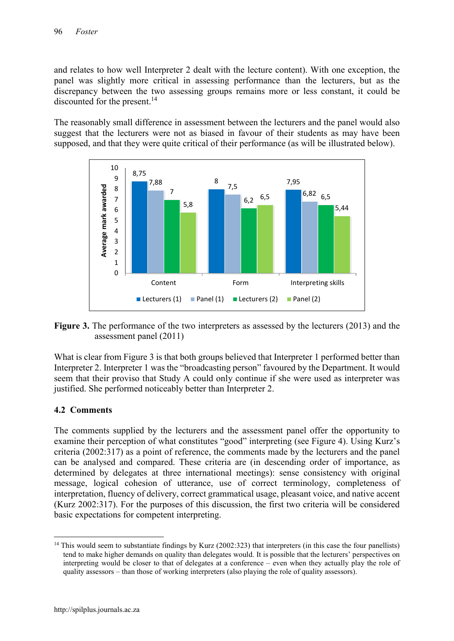and relates to how well Interpreter 2 dealt with the lecture content). With one exception, the panel was slightly more critical in assessing performance than the lecturers, but as the discrepancy between the two assessing groups remains more or less constant, it could be discounted for the present. 14

The reasonably small difference in assessment between the lecturers and the panel would also suggest that the lecturers were not as biased in favour of their students as may have been supposed, and that they were quite critical of their performance (as will be illustrated below).





What is clear from Figure 3 is that both groups believed that Interpreter 1 performed better than Interpreter 2. Interpreter 1 was the "broadcasting person" favoured by the Department. It would seem that their proviso that Study A could only continue if she were used as interpreter was justified. She performed noticeably better than Interpreter 2.

#### 4.2 Comments

The comments supplied by the lecturers and the assessment panel offer the opportunity to examine their perception of what constitutes "good" interpreting (see Figure 4). Using Kurz's criteria (2002:317) as a point of reference, the comments made by the lecturers and the panel can be analysed and compared. These criteria are (in descending order of importance, as determined by delegates at three international meetings): sense consistency with original message, logical cohesion of utterance, use of correct terminology, completeness of interpretation, fluency of delivery, correct grammatical usage, pleasant voice, and native accent (Kurz 2002:317). For the purposes of this discussion, the first two criteria will be considered basic expectations for competent interpreting.

**<sup>.</sup>** <sup>14</sup> This would seem to substantiate findings by Kurz (2002:323) that interpreters (in this case the four panellists) tend to make higher demands on quality than delegates would. It is possible that the lecturers' perspectives on interpreting would be closer to that of delegates at a conference – even when they actually play the role of quality assessors – than those of working interpreters (also playing the role of quality assessors).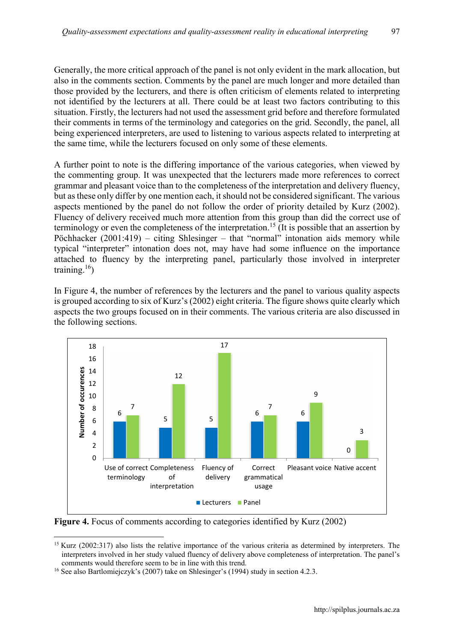Generally, the more critical approach of the panel is not only evident in the mark allocation, but also in the comments section. Comments by the panel are much longer and more detailed than those provided by the lecturers, and there is often criticism of elements related to interpreting not identified by the lecturers at all. There could be at least two factors contributing to this situation. Firstly, the lecturers had not used the assessment grid before and therefore formulated their comments in terms of the terminology and categories on the grid. Secondly, the panel, all being experienced interpreters, are used to listening to various aspects related to interpreting at the same time, while the lecturers focused on only some of these elements.

A further point to note is the differing importance of the various categories, when viewed by the commenting group. It was unexpected that the lecturers made more references to correct grammar and pleasant voice than to the completeness of the interpretation and delivery fluency, but as these only differ by one mention each, it should not be considered significant. The various aspects mentioned by the panel do not follow the order of priority detailed by Kurz (2002). Fluency of delivery received much more attention from this group than did the correct use of terminology or even the completeness of the interpretation. <sup>15</sup> (It is possible that an assertion by Pöchhacker (2001:419) – citing Shlesinger – that "normal" intonation aids memory while typical "interpreter" intonation does not, may have had some influence on the importance attached to fluency by the interpreting panel, particularly those involved in interpreter training. 16)

In Figure 4, the number of references by the lecturers and the panel to various quality aspects is grouped according to six of Kurz's (2002) eight criteria. The figure shows quite clearly which aspects the two groups focused on in their comments. The various criteria are also discussed in the following sections.



Figure 4. Focus of comments according to categories identified by Kurz (2002)

**<sup>.</sup>** <sup>15</sup> Kurz (2002:317) also lists the relative importance of the various criteria as determined by interpreters. The interpreters involved in her study valued fluency of delivery above completeness of interpretation. The panel's comments would therefore seem to be in line with this trend.

<sup>&</sup>lt;sup>16</sup> See also Bartlomiejczyk's (2007) take on Shlesinger's (1994) study in section 4.2.3.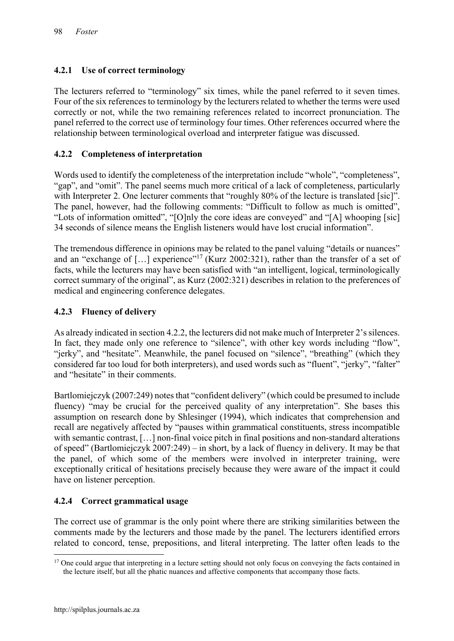# 4.2.1 Use of correct terminology

The lecturers referred to "terminology" six times, while the panel referred to it seven times. Four of the six references to terminology by the lecturers related to whether the terms were used correctly or not, while the two remaining references related to incorrect pronunciation. The panel referred to the correct use of terminology four times. Other references occurred where the relationship between terminological overload and interpreter fatigue was discussed.

# 4.2.2 Completeness of interpretation

Words used to identify the completeness of the interpretation include "whole", "completeness", "gap", and "omit". The panel seems much more critical of a lack of completeness, particularly with Interpreter 2. One lecturer comments that "roughly 80% of the lecture is translated [sic]". The panel, however, had the following comments: "Difficult to follow as much is omitted", "Lots of information omitted", "[O]nly the core ideas are conveyed" and "[A] whooping [sic] 34 seconds of silence means the English listeners would have lost crucial information".

The tremendous difference in opinions may be related to the panel valuing "details or nuances" and an "exchange of  $[...]$  experience"<sup>17</sup> (Kurz 2002:321), rather than the transfer of a set of facts, while the lecturers may have been satisfied with "an intelligent, logical, terminologically correct summary of the original", as Kurz (2002:321) describes in relation to the preferences of medical and engineering conference delegates.

# 4.2.3 Fluency of delivery

As already indicated in section 4.2.2, the lecturers did not make much of Interpreter 2's silences. In fact, they made only one reference to "silence", with other key words including "flow", "jerky", and "hesitate". Meanwhile, the panel focused on "silence", "breathing" (which they considered far too loud for both interpreters), and used words such as "fluent", "jerky", "falter" and "hesitate" in their comments.

Bartlomiejczyk (2007:249) notes that "confident delivery" (which could be presumed to include fluency) "may be crucial for the perceived quality of any interpretation". She bases this assumption on research done by Shlesinger (1994), which indicates that comprehension and recall are negatively affected by "pauses within grammatical constituents, stress incompatible with semantic contrast, [...] non-final voice pitch in final positions and non-standard alterations of speed" (Bartlomiejczyk 2007:249) – in short, by a lack of fluency in delivery. It may be that the panel, of which some of the members were involved in interpreter training, were exceptionally critical of hesitations precisely because they were aware of the impact it could have on listener perception.

#### 4.2.4 Correct grammatical usage

The correct use of grammar is the only point where there are striking similarities between the comments made by the lecturers and those made by the panel. The lecturers identified errors related to concord, tense, prepositions, and literal interpreting. The latter often leads to the

1

 $17$  One could argue that interpreting in a lecture setting should not only focus on conveying the facts contained in the lecture itself, but all the phatic nuances and affective components that accompany those facts.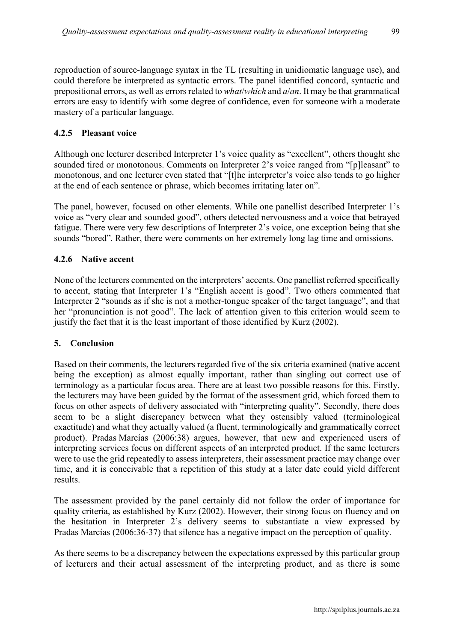reproduction of source-language syntax in the TL (resulting in unidiomatic language use), and could therefore be interpreted as syntactic errors. The panel identified concord, syntactic and prepositional errors, as well as errors related to *what*/*which* and *a*/*an*. It may be that grammatical errors are easy to identify with some degree of confidence, even for someone with a moderate mastery of a particular language.

# 4.2.5 Pleasant voice

Although one lecturer described Interpreter 1's voice quality as "excellent", others thought she sounded tired or monotonous. Comments on Interpreter 2's voice ranged from "[p]leasant" to monotonous, and one lecturer even stated that "[t]he interpreter's voice also tends to go higher at the end of each sentence or phrase, which becomes irritating later on".

The panel, however, focused on other elements. While one panellist described Interpreter 1's voice as "very clear and sounded good", others detected nervousness and a voice that betrayed fatigue. There were very few descriptions of Interpreter 2's voice, one exception being that she sounds "bored". Rather, there were comments on her extremely long lag time and omissions.

# 4.2.6 Native accent

None of the lecturers commented on the interpreters' accents. One panellist referred specifically to accent, stating that Interpreter 1's "English accent is good". Two others commented that Interpreter 2 "sounds as if she is not a mother-tongue speaker of the target language", and that her "pronunciation is not good". The lack of attention given to this criterion would seem to justify the fact that it is the least important of those identified by Kurz (2002).

#### 5. Conclusion

Based on their comments, the lecturers regarded five of the six criteria examined (native accent being the exception) as almost equally important, rather than singling out correct use of terminology as a particular focus area. There are at least two possible reasons for this. Firstly, the lecturers may have been guided by the format of the assessment grid, which forced them to focus on other aspects of delivery associated with "interpreting quality". Secondly, there does seem to be a slight discrepancy between what they ostensibly valued (terminological exactitude) and what they actually valued (a fluent, terminologically and grammatically correct product). Pradas Marcías (2006:38) argues, however, that new and experienced users of interpreting services focus on different aspects of an interpreted product. If the same lecturers were to use the grid repeatedly to assess interpreters, their assessment practice may change over time, and it is conceivable that a repetition of this study at a later date could yield different results.

The assessment provided by the panel certainly did not follow the order of importance for quality criteria, as established by Kurz (2002). However, their strong focus on fluency and on the hesitation in Interpreter 2's delivery seems to substantiate a view expressed by Pradas Marcías (2006:36-37) that silence has a negative impact on the perception of quality.

As there seems to be a discrepancy between the expectations expressed by this particular group of lecturers and their actual assessment of the interpreting product, and as there is some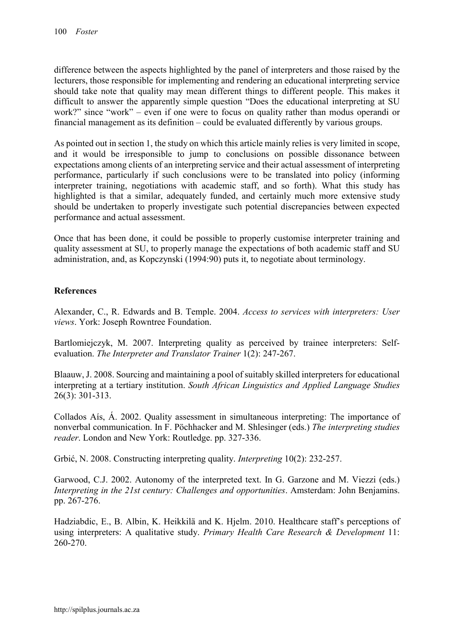difference between the aspects highlighted by the panel of interpreters and those raised by the lecturers, those responsible for implementing and rendering an educational interpreting service should take note that quality may mean different things to different people. This makes it difficult to answer the apparently simple question "Does the educational interpreting at SU work?" since "work" – even if one were to focus on quality rather than modus operandi or financial management as its definition – could be evaluated differently by various groups.

As pointed out in section 1, the study on which this article mainly relies is very limited in scope, and it would be irresponsible to jump to conclusions on possible dissonance between expectations among clients of an interpreting service and their actual assessment of interpreting performance, particularly if such conclusions were to be translated into policy (informing interpreter training, negotiations with academic staff, and so forth). What this study has highlighted is that a similar, adequately funded, and certainly much more extensive study should be undertaken to properly investigate such potential discrepancies between expected performance and actual assessment.

Once that has been done, it could be possible to properly customise interpreter training and quality assessment at SU, to properly manage the expectations of both academic staff and SU administration, and, as Kopczynski (1994:90) puts it, to negotiate about terminology.

#### References

Alexander, C., R. Edwards and B. Temple. 2004. *Access to services with interpreters: User views*. York: Joseph Rowntree Foundation.

Bartlomiejczyk, M. 2007. Interpreting quality as perceived by trainee interpreters: Selfevaluation. *The Interpreter and Translator Trainer* 1(2): 247-267.

Blaauw, J. 2008. Sourcing and maintaining a pool of suitably skilled interpreters for educational interpreting at a tertiary institution. *South African Linguistics and Applied Language Studies* 26(3): 301-313.

Collados Aís, Á. 2002. Quality assessment in simultaneous interpreting: The importance of nonverbal communication. In F. Pöchhacker and M. Shlesinger (eds.) *The interpreting studies reader*. London and New York: Routledge. pp. 327-336.

Grbić, N. 2008. Constructing interpreting quality. *Interpreting* 10(2): 232-257.

Garwood, C.J. 2002. Autonomy of the interpreted text. In G. Garzone and M. Viezzi (eds.) *Interpreting in the 21st century: Challenges and opportunities*. Amsterdam: John Benjamins. pp. 267-276.

Hadziabdic, E., B. Albin, K. Heikkilä and K. Hjelm. 2010. Healthcare staff's perceptions of using interpreters: A qualitative study. *Primary Health Care Research & Development* 11: 260-270.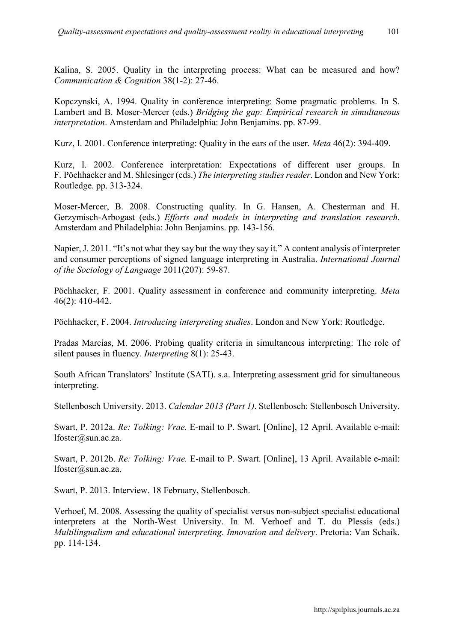Kalina, S. 2005. Quality in the interpreting process: What can be measured and how? *Communication & Cognition* 38(1-2): 27-46.

Kopczynski, A. 1994. Quality in conference interpreting: Some pragmatic problems. In S. Lambert and B. Moser-Mercer (eds.) *Bridging the gap: Empirical research in simultaneous interpretation*. Amsterdam and Philadelphia: John Benjamins. pp. 87-99.

Kurz, I. 2001. Conference interpreting: Quality in the ears of the user. *Meta* 46(2): 394-409.

Kurz, I. 2002. Conference interpretation: Expectations of different user groups. In F. Pöchhacker and M. Shlesinger (eds.) *The interpreting studies reader*. London and New York: Routledge. pp. 313-324.

Moser-Mercer, B. 2008. Constructing quality. In G. Hansen, A. Chesterman and H. Gerzymisch-Arbogast (eds.) *Efforts and models in interpreting and translation research*. Amsterdam and Philadelphia: John Benjamins. pp. 143-156.

Napier, J. 2011. "It's not what they say but the way they say it." A content analysis of interpreter and consumer perceptions of signed language interpreting in Australia. *International Journal of the Sociology of Language* 2011(207): 59-87.

Pöchhacker, F. 2001. Quality assessment in conference and community interpreting. *Meta* 46(2): 410-442.

Pöchhacker, F. 2004. *Introducing interpreting studies*. London and New York: Routledge.

Pradas Marcías, M. 2006. Probing quality criteria in simultaneous interpreting: The role of silent pauses in fluency. *Interpreting* 8(1): 25-43.

South African Translators' Institute (SATI). s.a. Interpreting assessment grid for simultaneous interpreting.

Stellenbosch University. 2013. *Calendar 2013 (Part 1)*. Stellenbosch: Stellenbosch University.

Swart, P. 2012a. *Re: Tolking: Vrae.* E-mail to P. Swart. [Online], 12 April. Available e-mail: [lfoster@sun.ac.za](mailto:lfoster@sun.ac.za).

Swart, P. 2012b. *Re: Tolking: Vrae.* E-mail to P. Swart. [Online], 13 April. Available e-mail: [lfoster@sun.ac.za](mailto:lfoster@sun.ac.za).

Swart, P. 2013. Interview. 18 February, Stellenbosch.

Verhoef, M. 2008. Assessing the quality of specialist versus non-subject specialist educational interpreters at the North-West University. In M. Verhoef and T. du Plessis (eds.) *Multilingualism and educational interpreting. Innovation and delivery*. Pretoria: Van Schaik. pp. 114-134.